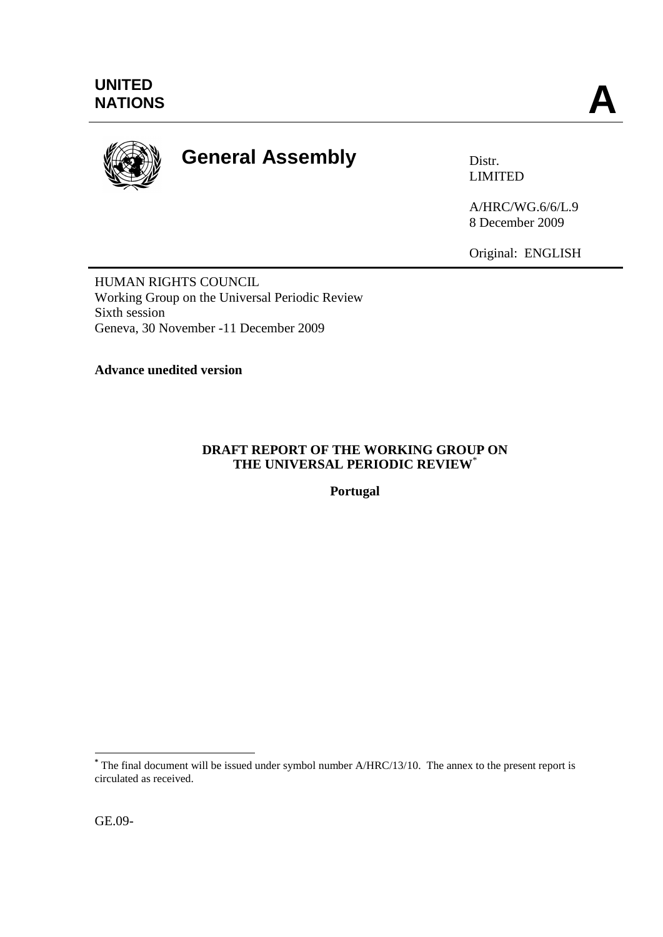

# **General Assembly** Distr.

LIMITED

A/HRC/WG.6/6/L.9 8 December 2009

Original: ENGLISH

HUMAN RIGHTS COUNCIL Working Group on the Universal Periodic Review Sixth session Geneva, 30 November -11 December 2009

**Advance unedited version**

# **DRAFT REPORT OF THE WORKING GROUP ON THE UNIVERSAL PERIODIC REVIEW**\*

**Portugal**

1

**<sup>\*</sup>** The final document will be issued under symbol number A/HRC/13/10. The annex to the present report is circulated as received.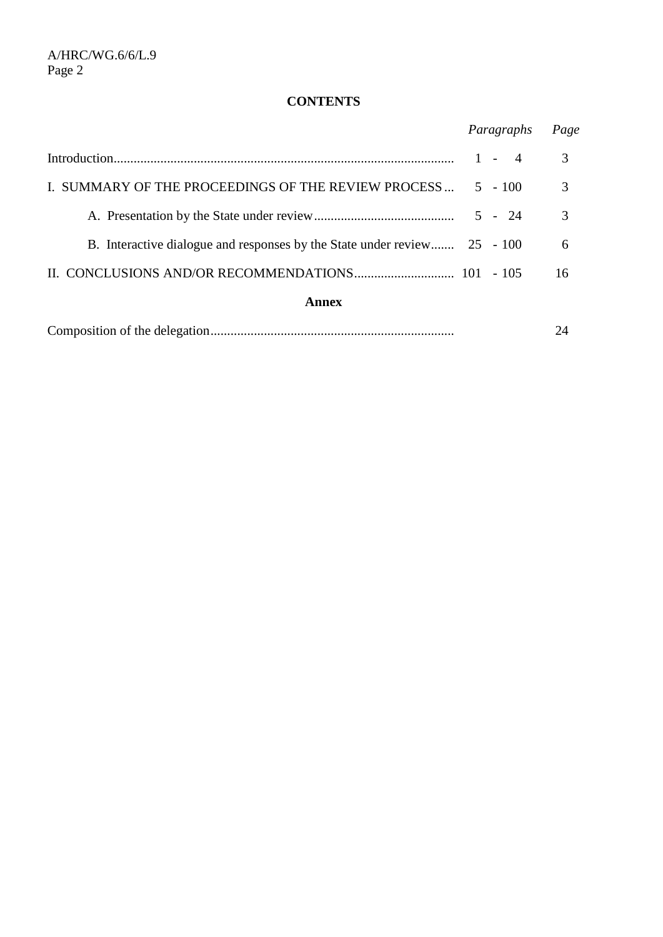# **CONTENTS**

|                                                                          | Paragraphs | Page |
|--------------------------------------------------------------------------|------------|------|
|                                                                          | $1 - 4$    | 3    |
| I. SUMMARY OF THE PROCEEDINGS OF THE REVIEW PROCESS                      | $5 - 100$  | 3    |
|                                                                          |            | 3    |
| B. Interactive dialogue and responses by the State under review 25 - 100 |            | 6    |
|                                                                          |            | 16   |
| Annex                                                                    |            |      |

|--|--|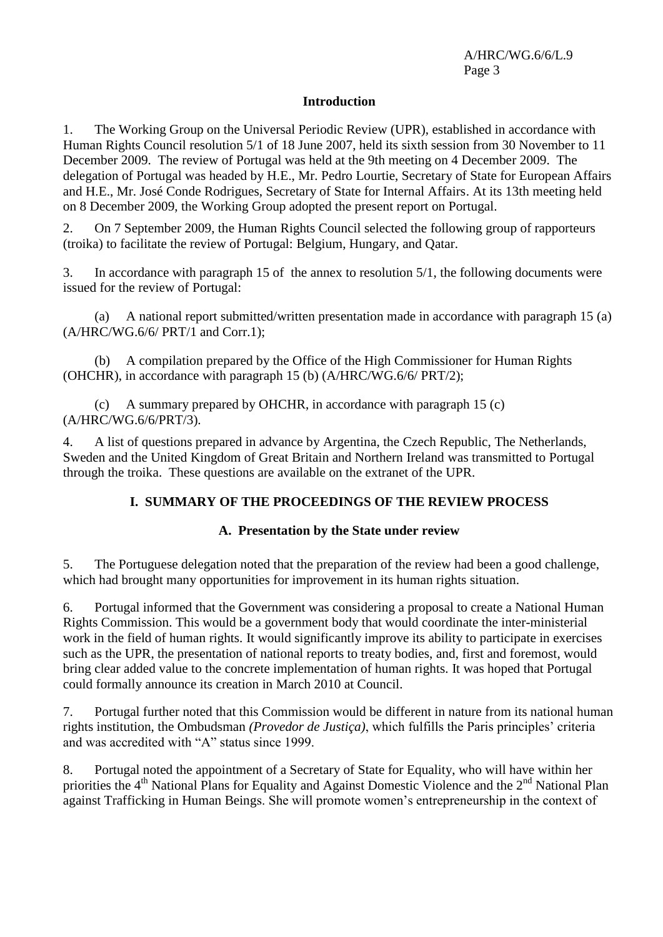## **Introduction**

1. The Working Group on the Universal Periodic Review (UPR), established in accordance with Human Rights Council resolution 5/1 of 18 June 2007, held its sixth session from 30 November to 11 December 2009. The review of Portugal was held at the 9th meeting on 4 December 2009. The delegation of Portugal was headed by H.E., Mr. Pedro Lourtie, Secretary of State for European Affairs and H.E., Mr. José Conde Rodrigues, Secretary of State for Internal Affairs. At its 13th meeting held on 8 December 2009, the Working Group adopted the present report on Portugal.

2. On 7 September 2009, the Human Rights Council selected the following group of rapporteurs (troika) to facilitate the review of Portugal: Belgium, Hungary, and Qatar.

3. In accordance with paragraph 15 of the annex to resolution 5/1, the following documents were issued for the review of Portugal:

(a) A national report submitted/written presentation made in accordance with paragraph 15 (a)  $(A/HRC/WG.6/6/ PRT/1$  and Corr.1);

(b) A compilation prepared by the Office of the High Commissioner for Human Rights (OHCHR), in accordance with paragraph 15 (b) (A/HRC/WG.6/6/ PRT/2);

(c) A summary prepared by OHCHR, in accordance with paragraph 15 (c) (A/HRC/WG.6/6/PRT/3).

4. A list of questions prepared in advance by Argentina, the Czech Republic, The Netherlands, Sweden and the United Kingdom of Great Britain and Northern Ireland was transmitted to Portugal through the troika. These questions are available on the extranet of the UPR.

# **I. SUMMARY OF THE PROCEEDINGS OF THE REVIEW PROCESS**

# **A. Presentation by the State under review**

5. The Portuguese delegation noted that the preparation of the review had been a good challenge, which had brought many opportunities for improvement in its human rights situation.

6. Portugal informed that the Government was considering a proposal to create a National Human Rights Commission. This would be a government body that would coordinate the inter-ministerial work in the field of human rights. It would significantly improve its ability to participate in exercises such as the UPR, the presentation of national reports to treaty bodies, and, first and foremost, would bring clear added value to the concrete implementation of human rights. It was hoped that Portugal could formally announce its creation in March 2010 at Council.

7. Portugal further noted that this Commission would be different in nature from its national human rights institution, the Ombudsman *(Provedor de Justiça)*, which fulfills the Paris principles' criteria and was accredited with "A" status since 1999.

8. Portugal noted the appointment of a Secretary of State for Equality, who will have within her priorities the 4<sup>th</sup> National Plans for Equality and Against Domestic Violence and the 2<sup>nd</sup> National Plan against Trafficking in Human Beings. She will promote women's entrepreneurship in the context of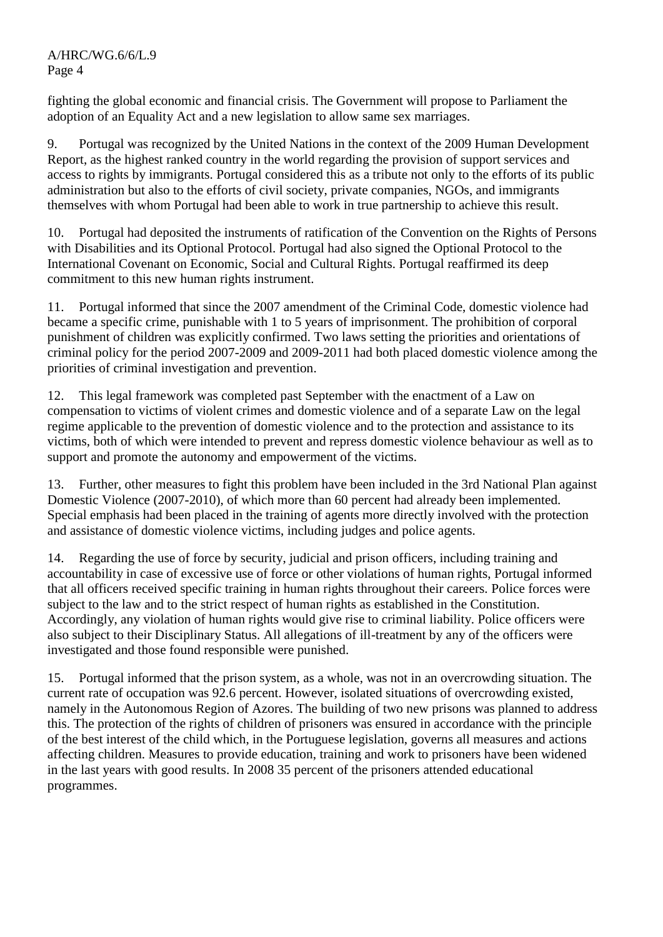fighting the global economic and financial crisis. The Government will propose to Parliament the adoption of an Equality Act and a new legislation to allow same sex marriages.

9. Portugal was recognized by the United Nations in the context of the 2009 Human Development Report, as the highest ranked country in the world regarding the provision of support services and access to rights by immigrants. Portugal considered this as a tribute not only to the efforts of its public administration but also to the efforts of civil society, private companies, NGOs, and immigrants themselves with whom Portugal had been able to work in true partnership to achieve this result.

10. Portugal had deposited the instruments of ratification of the Convention on the Rights of Persons with Disabilities and its Optional Protocol. Portugal had also signed the Optional Protocol to the International Covenant on Economic, Social and Cultural Rights. Portugal reaffirmed its deep commitment to this new human rights instrument.

11. Portugal informed that since the 2007 amendment of the Criminal Code, domestic violence had became a specific crime, punishable with 1 to 5 years of imprisonment. The prohibition of corporal punishment of children was explicitly confirmed. Two laws setting the priorities and orientations of criminal policy for the period 2007-2009 and 2009-2011 had both placed domestic violence among the priorities of criminal investigation and prevention.

12. This legal framework was completed past September with the enactment of a Law on compensation to victims of violent crimes and domestic violence and of a separate Law on the legal regime applicable to the prevention of domestic violence and to the protection and assistance to its victims, both of which were intended to prevent and repress domestic violence behaviour as well as to support and promote the autonomy and empowerment of the victims.

13. Further, other measures to fight this problem have been included in the 3rd National Plan against Domestic Violence (2007-2010), of which more than 60 percent had already been implemented. Special emphasis had been placed in the training of agents more directly involved with the protection and assistance of domestic violence victims, including judges and police agents.

14. Regarding the use of force by security, judicial and prison officers, including training and accountability in case of excessive use of force or other violations of human rights, Portugal informed that all officers received specific training in human rights throughout their careers. Police forces were subject to the law and to the strict respect of human rights as established in the Constitution. Accordingly, any violation of human rights would give rise to criminal liability. Police officers were also subject to their Disciplinary Status. All allegations of ill-treatment by any of the officers were investigated and those found responsible were punished.

15. Portugal informed that the prison system, as a whole, was not in an overcrowding situation. The current rate of occupation was 92.6 percent. However, isolated situations of overcrowding existed, namely in the Autonomous Region of Azores. The building of two new prisons was planned to address this. The protection of the rights of children of prisoners was ensured in accordance with the principle of the best interest of the child which, in the Portuguese legislation, governs all measures and actions affecting children. Measures to provide education, training and work to prisoners have been widened in the last years with good results. In 2008 35 percent of the prisoners attended educational programmes.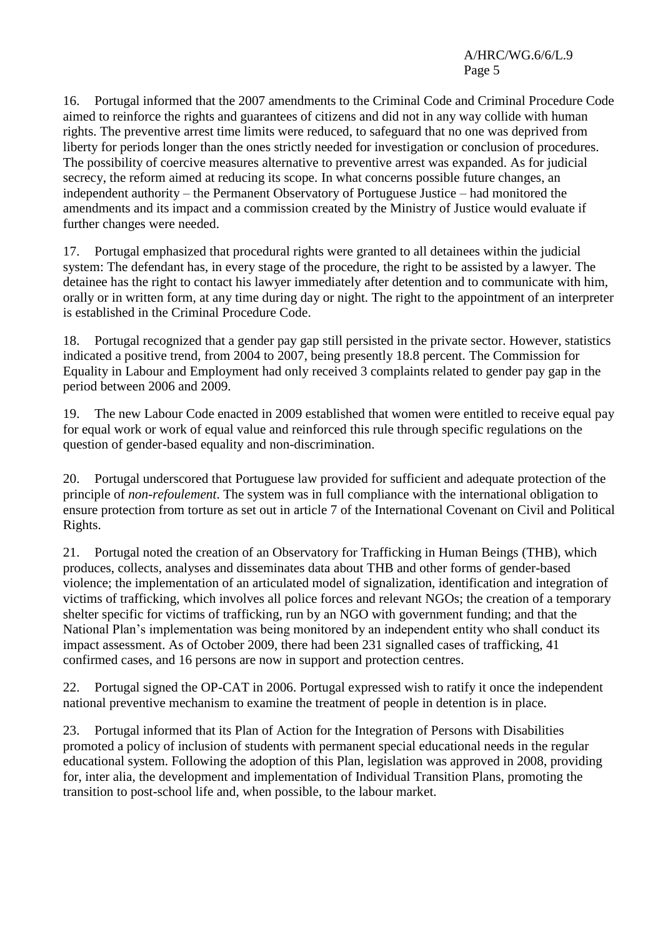16. Portugal informed that the 2007 amendments to the Criminal Code and Criminal Procedure Code aimed to reinforce the rights and guarantees of citizens and did not in any way collide with human rights. The preventive arrest time limits were reduced, to safeguard that no one was deprived from liberty for periods longer than the ones strictly needed for investigation or conclusion of procedures. The possibility of coercive measures alternative to preventive arrest was expanded. As for judicial secrecy, the reform aimed at reducing its scope. In what concerns possible future changes, an independent authority – the Permanent Observatory of Portuguese Justice – had monitored the amendments and its impact and a commission created by the Ministry of Justice would evaluate if further changes were needed.

17. Portugal emphasized that procedural rights were granted to all detainees within the judicial system: The defendant has, in every stage of the procedure, the right to be assisted by a lawyer. The detainee has the right to contact his lawyer immediately after detention and to communicate with him, orally or in written form, at any time during day or night. The right to the appointment of an interpreter is established in the Criminal Procedure Code.

18. Portugal recognized that a gender pay gap still persisted in the private sector. However, statistics indicated a positive trend, from 2004 to 2007, being presently 18.8 percent. The Commission for Equality in Labour and Employment had only received 3 complaints related to gender pay gap in the period between 2006 and 2009.

19. The new Labour Code enacted in 2009 established that women were entitled to receive equal pay for equal work or work of equal value and reinforced this rule through specific regulations on the question of gender-based equality and non-discrimination.

20. Portugal underscored that Portuguese law provided for sufficient and adequate protection of the principle of *non-refoulement*. The system was in full compliance with the international obligation to ensure protection from torture as set out in article 7 of the International Covenant on Civil and Political Rights.

21. Portugal noted the creation of an Observatory for Trafficking in Human Beings (THB), which produces, collects, analyses and disseminates data about THB and other forms of gender-based violence; the implementation of an articulated model of signalization, identification and integration of victims of trafficking, which involves all police forces and relevant NGOs; the creation of a temporary shelter specific for victims of trafficking, run by an NGO with government funding; and that the National Plan's implementation was being monitored by an independent entity who shall conduct its impact assessment. As of October 2009, there had been 231 signalled cases of trafficking, 41 confirmed cases, and 16 persons are now in support and protection centres.

22. Portugal signed the OP-CAT in 2006. Portugal expressed wish to ratify it once the independent national preventive mechanism to examine the treatment of people in detention is in place.

23. Portugal informed that its Plan of Action for the Integration of Persons with Disabilities promoted a policy of inclusion of students with permanent special educational needs in the regular educational system. Following the adoption of this Plan, legislation was approved in 2008, providing for, inter alia, the development and implementation of Individual Transition Plans, promoting the transition to post-school life and, when possible, to the labour market.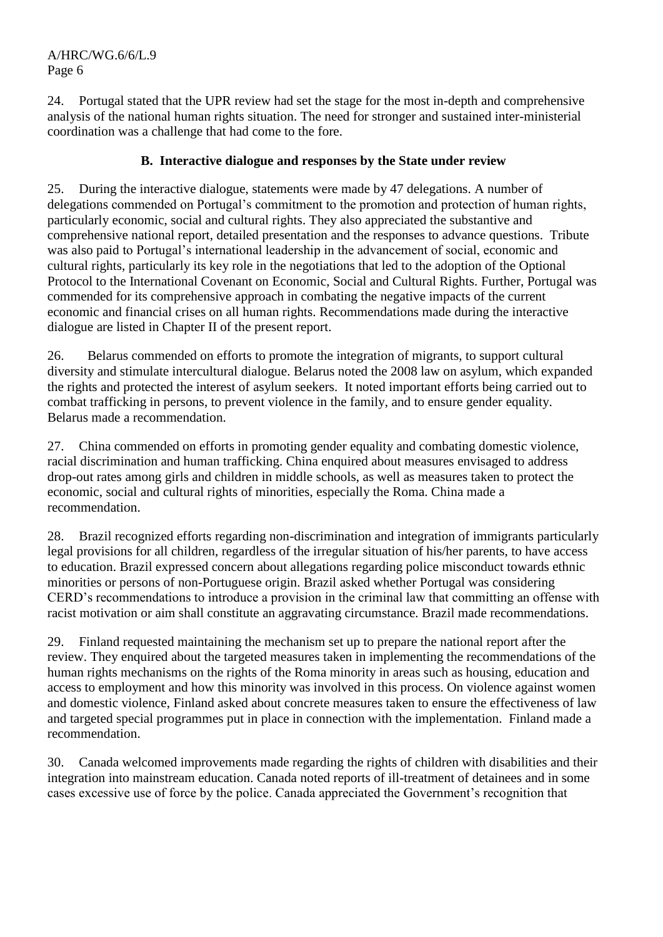24. Portugal stated that the UPR review had set the stage for the most in-depth and comprehensive analysis of the national human rights situation. The need for stronger and sustained inter-ministerial coordination was a challenge that had come to the fore.

# **B. Interactive dialogue and responses by the State under review**

25. During the interactive dialogue, statements were made by 47 delegations. A number of delegations commended on Portugal's commitment to the promotion and protection of human rights, particularly economic, social and cultural rights. They also appreciated the substantive and comprehensive national report, detailed presentation and the responses to advance questions. Tribute was also paid to Portugal's international leadership in the advancement of social, economic and cultural rights, particularly its key role in the negotiations that led to the adoption of the Optional Protocol to the International Covenant on Economic, Social and Cultural Rights. Further, Portugal was commended for its comprehensive approach in combating the negative impacts of the current economic and financial crises on all human rights. Recommendations made during the interactive dialogue are listed in Chapter II of the present report.

26. Belarus commended on efforts to promote the integration of migrants, to support cultural diversity and stimulate intercultural dialogue. Belarus noted the 2008 law on asylum, which expanded the rights and protected the interest of asylum seekers. It noted important efforts being carried out to combat trafficking in persons, to prevent violence in the family, and to ensure gender equality. Belarus made a recommendation.

27. China commended on efforts in promoting gender equality and combating domestic violence, racial discrimination and human trafficking. China enquired about measures envisaged to address drop-out rates among girls and children in middle schools, as well as measures taken to protect the economic, social and cultural rights of minorities, especially the Roma. China made a recommendation.

28. Brazil recognized efforts regarding non-discrimination and integration of immigrants particularly legal provisions for all children, regardless of the irregular situation of his/her parents, to have access to education. Brazil expressed concern about allegations regarding police misconduct towards ethnic minorities or persons of non-Portuguese origin. Brazil asked whether Portugal was considering CERD's recommendations to introduce a provision in the criminal law that committing an offense with racist motivation or aim shall constitute an aggravating circumstance. Brazil made recommendations.

29. Finland requested maintaining the mechanism set up to prepare the national report after the review. They enquired about the targeted measures taken in implementing the recommendations of the human rights mechanisms on the rights of the Roma minority in areas such as housing, education and access to employment and how this minority was involved in this process. On violence against women and domestic violence, Finland asked about concrete measures taken to ensure the effectiveness of law and targeted special programmes put in place in connection with the implementation. Finland made a recommendation.

30. Canada welcomed improvements made regarding the rights of children with disabilities and their integration into mainstream education. Canada noted reports of ill-treatment of detainees and in some cases excessive use of force by the police. Canada appreciated the Government's recognition that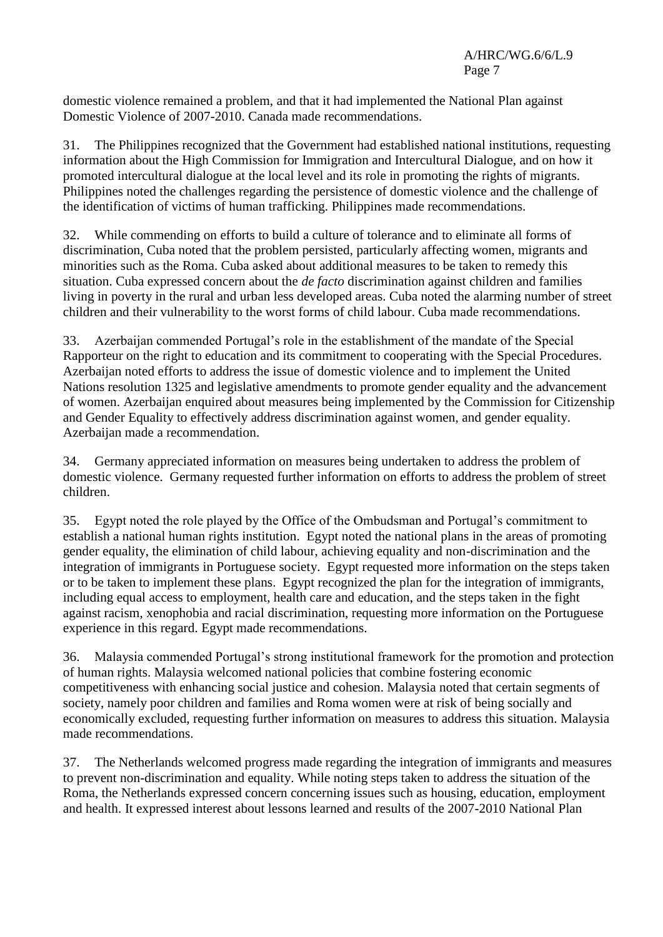domestic violence remained a problem, and that it had implemented the National Plan against Domestic Violence of 2007-2010. Canada made recommendations.

31. The Philippines recognized that the Government had established national institutions, requesting information about the High Commission for Immigration and Intercultural Dialogue, and on how it promoted intercultural dialogue at the local level and its role in promoting the rights of migrants. Philippines noted the challenges regarding the persistence of domestic violence and the challenge of the identification of victims of human trafficking. Philippines made recommendations.

32. While commending on efforts to build a culture of tolerance and to eliminate all forms of discrimination, Cuba noted that the problem persisted, particularly affecting women, migrants and minorities such as the Roma. Cuba asked about additional measures to be taken to remedy this situation. Cuba expressed concern about the *de facto* discrimination against children and families living in poverty in the rural and urban less developed areas. Cuba noted the alarming number of street children and their vulnerability to the worst forms of child labour. Cuba made recommendations.

33. Azerbaijan commended Portugal's role in the establishment of the mandate of the Special Rapporteur on the right to education and its commitment to cooperating with the Special Procedures. Azerbaijan noted efforts to address the issue of domestic violence and to implement the United Nations resolution 1325 and legislative amendments to promote gender equality and the advancement of women. Azerbaijan enquired about measures being implemented by the Commission for Citizenship and Gender Equality to effectively address discrimination against women, and gender equality. Azerbaijan made a recommendation.

34. Germany appreciated information on measures being undertaken to address the problem of domestic violence. Germany requested further information on efforts to address the problem of street children.

35. Egypt noted the role played by the Office of the Ombudsman and Portugal's commitment to establish a national human rights institution. Egypt noted the national plans in the areas of promoting gender equality, the elimination of child labour, achieving equality and non-discrimination and the integration of immigrants in Portuguese society. Egypt requested more information on the steps taken or to be taken to implement these plans. Egypt recognized the plan for the integration of immigrants, including equal access to employment, health care and education, and the steps taken in the fight against racism, xenophobia and racial discrimination, requesting more information on the Portuguese experience in this regard. Egypt made recommendations.

36. Malaysia commended Portugal's strong institutional framework for the promotion and protection of human rights. Malaysia welcomed national policies that combine fostering economic competitiveness with enhancing social justice and cohesion. Malaysia noted that certain segments of society, namely poor children and families and Roma women were at risk of being socially and economically excluded, requesting further information on measures to address this situation. Malaysia made recommendations.

37. The Netherlands welcomed progress made regarding the integration of immigrants and measures to prevent non-discrimination and equality. While noting steps taken to address the situation of the Roma, the Netherlands expressed concern concerning issues such as housing, education, employment and health. It expressed interest about lessons learned and results of the 2007-2010 National Plan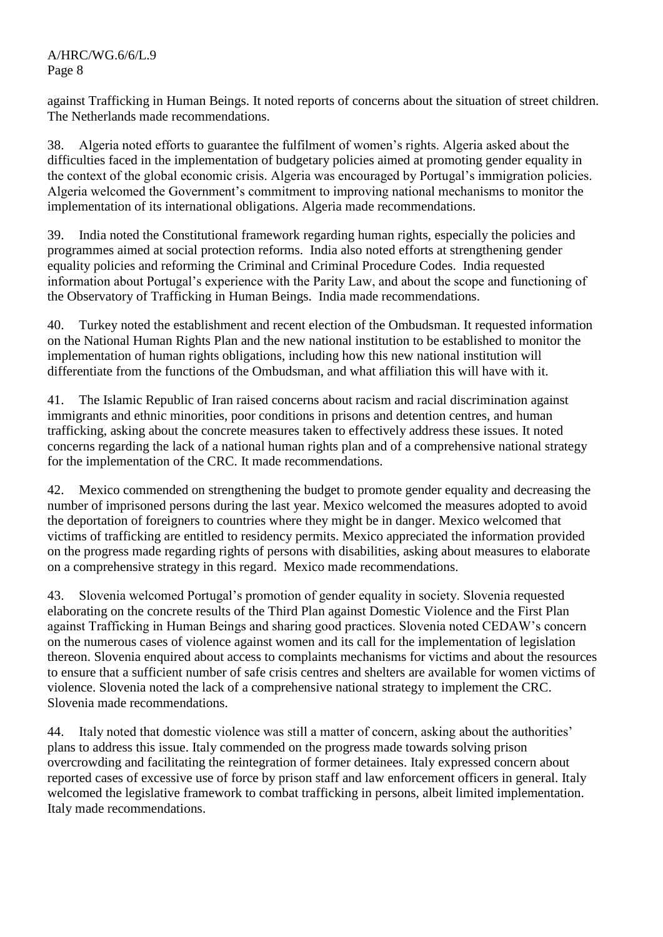against Trafficking in Human Beings. It noted reports of concerns about the situation of street children. The Netherlands made recommendations.

38. Algeria noted efforts to guarantee the fulfilment of women's rights. Algeria asked about the difficulties faced in the implementation of budgetary policies aimed at promoting gender equality in the context of the global economic crisis. Algeria was encouraged by Portugal's immigration policies. Algeria welcomed the Government's commitment to improving national mechanisms to monitor the implementation of its international obligations. Algeria made recommendations.

39. India noted the Constitutional framework regarding human rights, especially the policies and programmes aimed at social protection reforms. India also noted efforts at strengthening gender equality policies and reforming the Criminal and Criminal Procedure Codes. India requested information about Portugal's experience with the Parity Law, and about the scope and functioning of the Observatory of Trafficking in Human Beings. India made recommendations.

40. Turkey noted the establishment and recent election of the Ombudsman. It requested information on the National Human Rights Plan and the new national institution to be established to monitor the implementation of human rights obligations, including how this new national institution will differentiate from the functions of the Ombudsman, and what affiliation this will have with it.

41. The Islamic Republic of Iran raised concerns about racism and racial discrimination against immigrants and ethnic minorities, poor conditions in prisons and detention centres, and human trafficking, asking about the concrete measures taken to effectively address these issues. It noted concerns regarding the lack of a national human rights plan and of a comprehensive national strategy for the implementation of the CRC. It made recommendations.

42. Mexico commended on strengthening the budget to promote gender equality and decreasing the number of imprisoned persons during the last year. Mexico welcomed the measures adopted to avoid the deportation of foreigners to countries where they might be in danger. Mexico welcomed that victims of trafficking are entitled to residency permits. Mexico appreciated the information provided on the progress made regarding rights of persons with disabilities, asking about measures to elaborate on a comprehensive strategy in this regard. Mexico made recommendations.

43. Slovenia welcomed Portugal's promotion of gender equality in society. Slovenia requested elaborating on the concrete results of the Third Plan against Domestic Violence and the First Plan against Trafficking in Human Beings and sharing good practices. Slovenia noted CEDAW's concern on the numerous cases of violence against women and its call for the implementation of legislation thereon. Slovenia enquired about access to complaints mechanisms for victims and about the resources to ensure that a sufficient number of safe crisis centres and shelters are available for women victims of violence. Slovenia noted the lack of a comprehensive national strategy to implement the CRC. Slovenia made recommendations.

44. Italy noted that domestic violence was still a matter of concern, asking about the authorities' plans to address this issue. Italy commended on the progress made towards solving prison overcrowding and facilitating the reintegration of former detainees. Italy expressed concern about reported cases of excessive use of force by prison staff and law enforcement officers in general. Italy welcomed the legislative framework to combat trafficking in persons, albeit limited implementation. Italy made recommendations.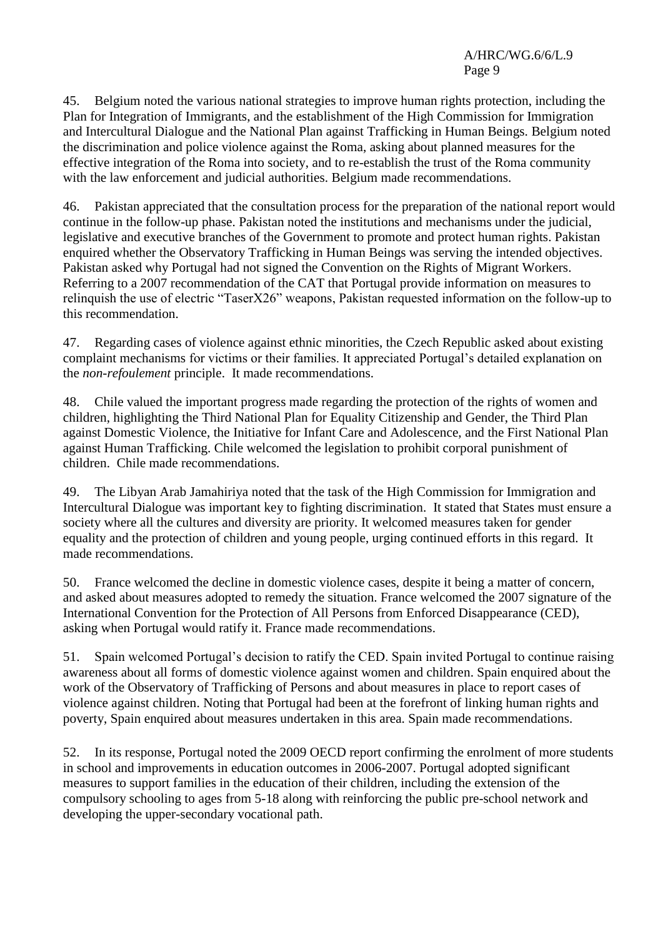45. Belgium noted the various national strategies to improve human rights protection, including the Plan for Integration of Immigrants, and the establishment of the High Commission for Immigration and Intercultural Dialogue and the National Plan against Trafficking in Human Beings. Belgium noted the discrimination and police violence against the Roma, asking about planned measures for the effective integration of the Roma into society, and to re-establish the trust of the Roma community with the law enforcement and judicial authorities. Belgium made recommendations.

46. Pakistan appreciated that the consultation process for the preparation of the national report would continue in the follow-up phase. Pakistan noted the institutions and mechanisms under the judicial, legislative and executive branches of the Government to promote and protect human rights. Pakistan enquired whether the Observatory Trafficking in Human Beings was serving the intended objectives. Pakistan asked why Portugal had not signed the Convention on the Rights of Migrant Workers. Referring to a 2007 recommendation of the CAT that Portugal provide information on measures to relinquish the use of electric "TaserX26" weapons, Pakistan requested information on the follow-up to this recommendation.

47. Regarding cases of violence against ethnic minorities, the Czech Republic asked about existing complaint mechanisms for victims or their families. It appreciated Portugal's detailed explanation on the *non-refoulement* principle. It made recommendations.

48. Chile valued the important progress made regarding the protection of the rights of women and children, highlighting the Third National Plan for Equality Citizenship and Gender, the Third Plan against Domestic Violence, the Initiative for Infant Care and Adolescence, and the First National Plan against Human Trafficking. Chile welcomed the legislation to prohibit corporal punishment of children. Chile made recommendations.

49. The Libyan Arab Jamahiriya noted that the task of the High Commission for Immigration and Intercultural Dialogue was important key to fighting discrimination. It stated that States must ensure a society where all the cultures and diversity are priority. It welcomed measures taken for gender equality and the protection of children and young people, urging continued efforts in this regard. It made recommendations.

50. France welcomed the decline in domestic violence cases, despite it being a matter of concern, and asked about measures adopted to remedy the situation. France welcomed the 2007 signature of the International Convention for the Protection of All Persons from Enforced Disappearance (CED), asking when Portugal would ratify it. France made recommendations.

51. Spain welcomed Portugal's decision to ratify the CED. Spain invited Portugal to continue raising awareness about all forms of domestic violence against women and children. Spain enquired about the work of the Observatory of Trafficking of Persons and about measures in place to report cases of violence against children. Noting that Portugal had been at the forefront of linking human rights and poverty, Spain enquired about measures undertaken in this area. Spain made recommendations.

52. In its response, Portugal noted the 2009 OECD report confirming the enrolment of more students in school and improvements in education outcomes in 2006-2007. Portugal adopted significant measures to support families in the education of their children, including the extension of the compulsory schooling to ages from 5-18 along with reinforcing the public pre-school network and developing the upper-secondary vocational path.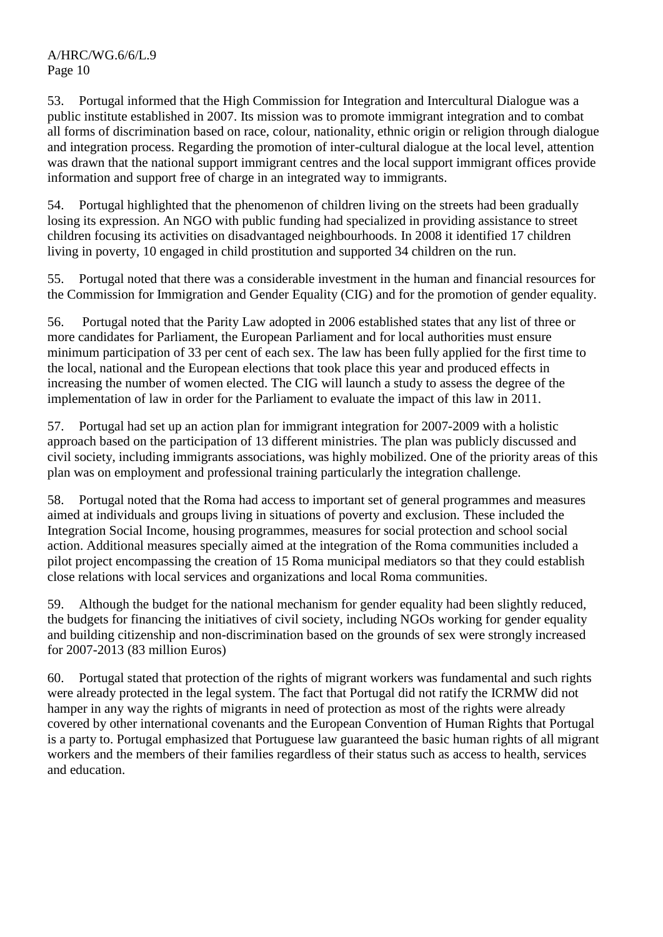53. Portugal informed that the High Commission for Integration and Intercultural Dialogue was a public institute established in 2007. Its mission was to promote immigrant integration and to combat all forms of discrimination based on race, colour, nationality, ethnic origin or religion through dialogue and integration process. Regarding the promotion of inter-cultural dialogue at the local level, attention was drawn that the national support immigrant centres and the local support immigrant offices provide information and support free of charge in an integrated way to immigrants.

54. Portugal highlighted that the phenomenon of children living on the streets had been gradually losing its expression. An NGO with public funding had specialized in providing assistance to street children focusing its activities on disadvantaged neighbourhoods. In 2008 it identified 17 children living in poverty, 10 engaged in child prostitution and supported 34 children on the run.

55. Portugal noted that there was a considerable investment in the human and financial resources for the Commission for Immigration and Gender Equality (CIG) and for the promotion of gender equality.

56. Portugal noted that the Parity Law adopted in 2006 established states that any list of three or more candidates for Parliament, the European Parliament and for local authorities must ensure minimum participation of 33 per cent of each sex. The law has been fully applied for the first time to the local, national and the European elections that took place this year and produced effects in increasing the number of women elected. The CIG will launch a study to assess the degree of the implementation of law in order for the Parliament to evaluate the impact of this law in 2011.

57. Portugal had set up an action plan for immigrant integration for 2007-2009 with a holistic approach based on the participation of 13 different ministries. The plan was publicly discussed and civil society, including immigrants associations, was highly mobilized. One of the priority areas of this plan was on employment and professional training particularly the integration challenge.

58. Portugal noted that the Roma had access to important set of general programmes and measures aimed at individuals and groups living in situations of poverty and exclusion. These included the Integration Social Income, housing programmes, measures for social protection and school social action. Additional measures specially aimed at the integration of the Roma communities included a pilot project encompassing the creation of 15 Roma municipal mediators so that they could establish close relations with local services and organizations and local Roma communities.

59. Although the budget for the national mechanism for gender equality had been slightly reduced, the budgets for financing the initiatives of civil society, including NGOs working for gender equality and building citizenship and non-discrimination based on the grounds of sex were strongly increased for 2007-2013 (83 million Euros)

60. Portugal stated that protection of the rights of migrant workers was fundamental and such rights were already protected in the legal system. The fact that Portugal did not ratify the ICRMW did not hamper in any way the rights of migrants in need of protection as most of the rights were already covered by other international covenants and the European Convention of Human Rights that Portugal is a party to. Portugal emphasized that Portuguese law guaranteed the basic human rights of all migrant workers and the members of their families regardless of their status such as access to health, services and education.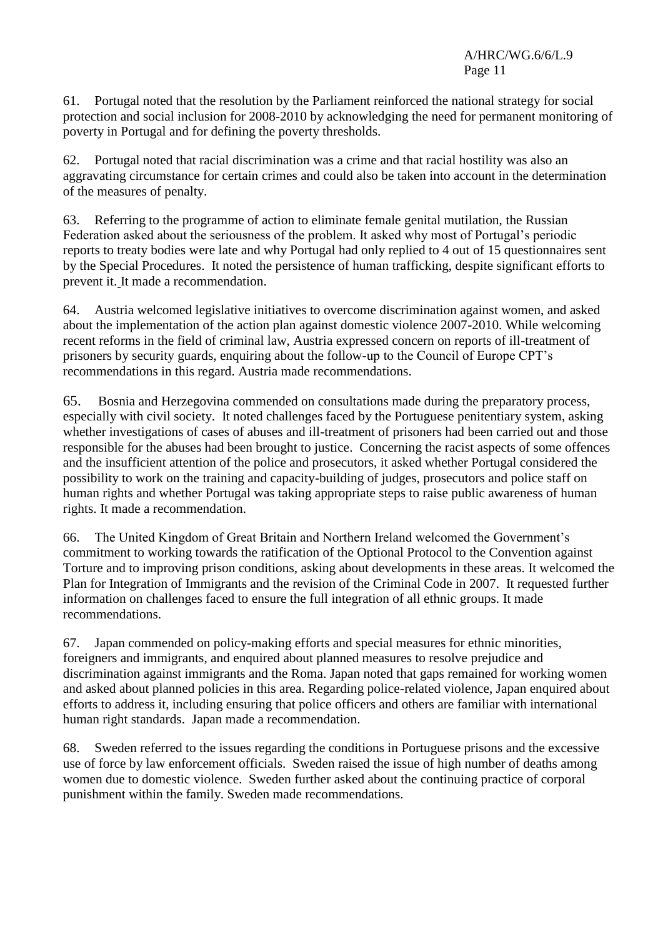61. Portugal noted that the resolution by the Parliament reinforced the national strategy for social protection and social inclusion for 2008-2010 by acknowledging the need for permanent monitoring of poverty in Portugal and for defining the poverty thresholds.

62. Portugal noted that racial discrimination was a crime and that racial hostility was also an aggravating circumstance for certain crimes and could also be taken into account in the determination of the measures of penalty.

63. Referring to the programme of action to eliminate female genital mutilation, the Russian Federation asked about the seriousness of the problem. It asked why most of Portugal's periodic reports to treaty bodies were late and why Portugal had only replied to 4 out of 15 questionnaires sent by the Special Procedures. It noted the persistence of human trafficking, despite significant efforts to prevent it. It made a recommendation.

64. Austria welcomed legislative initiatives to overcome discrimination against women, and asked about the implementation of the action plan against domestic violence 2007-2010. While welcoming recent reforms in the field of criminal law, Austria expressed concern on reports of ill-treatment of prisoners by security guards, enquiring about the follow-up to the Council of Europe CPT's recommendations in this regard. Austria made recommendations.

65. Bosnia and Herzegovina commended on consultations made during the preparatory process, especially with civil society. It noted challenges faced by the Portuguese penitentiary system, asking whether investigations of cases of abuses and ill-treatment of prisoners had been carried out and those responsible for the abuses had been brought to justice. Concerning the racist aspects of some offences and the insufficient attention of the police and prosecutors, it asked whether Portugal considered the possibility to work on the training and capacity-building of judges, prosecutors and police staff on human rights and whether Portugal was taking appropriate steps to raise public awareness of human rights. It made a recommendation.

66. The United Kingdom of Great Britain and Northern Ireland welcomed the Government's commitment to working towards the ratification of the Optional Protocol to the Convention against Torture and to improving prison conditions, asking about developments in these areas. It welcomed the Plan for Integration of Immigrants and the revision of the Criminal Code in 2007. It requested further information on challenges faced to ensure the full integration of all ethnic groups. It made recommendations.

67. Japan commended on policy-making efforts and special measures for ethnic minorities, foreigners and immigrants, and enquired about planned measures to resolve prejudice and discrimination against immigrants and the Roma. Japan noted that gaps remained for working women and asked about planned policies in this area. Regarding police-related violence, Japan enquired about efforts to address it, including ensuring that police officers and others are familiar with international human right standards. Japan made a recommendation.

68. Sweden referred to the issues regarding the conditions in Portuguese prisons and the excessive use of force by law enforcement officials. Sweden raised the issue of high number of deaths among women due to domestic violence. Sweden further asked about the continuing practice of corporal punishment within the family. Sweden made recommendations.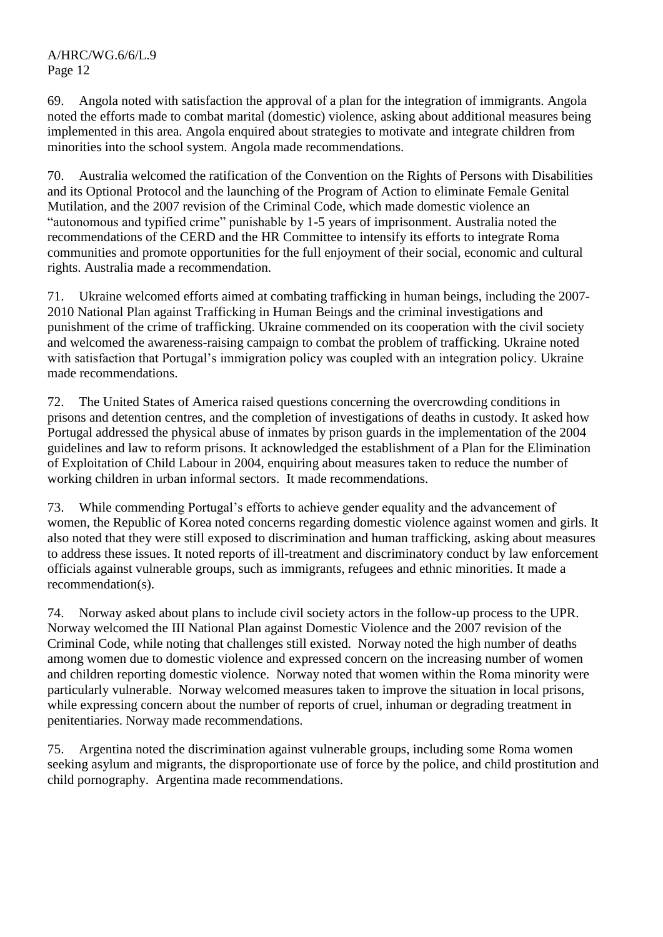69. Angola noted with satisfaction the approval of a plan for the integration of immigrants. Angola noted the efforts made to combat marital (domestic) violence, asking about additional measures being implemented in this area. Angola enquired about strategies to motivate and integrate children from minorities into the school system. Angola made recommendations.

70. Australia welcomed the ratification of the Convention on the Rights of Persons with Disabilities and its Optional Protocol and the launching of the Program of Action to eliminate Female Genital Mutilation, and the 2007 revision of the Criminal Code, which made domestic violence an "autonomous and typified crime" punishable by 1-5 years of imprisonment. Australia noted the recommendations of the CERD and the HR Committee to intensify its efforts to integrate Roma communities and promote opportunities for the full enjoyment of their social, economic and cultural rights. Australia made a recommendation.

71. Ukraine welcomed efforts aimed at combating trafficking in human beings, including the 2007- 2010 National Plan against Trafficking in Human Beings and the criminal investigations and punishment of the crime of trafficking. Ukraine commended on its cooperation with the civil society and welcomed the awareness-raising campaign to combat the problem of trafficking. Ukraine noted with satisfaction that Portugal's immigration policy was coupled with an integration policy. Ukraine made recommendations.

72. The United States of America raised questions concerning the overcrowding conditions in prisons and detention centres, and the completion of investigations of deaths in custody. It asked how Portugal addressed the physical abuse of inmates by prison guards in the implementation of the 2004 guidelines and law to reform prisons. It acknowledged the establishment of a Plan for the Elimination of Exploitation of Child Labour in 2004, enquiring about measures taken to reduce the number of working children in urban informal sectors. It made recommendations.

73. While commending Portugal's efforts to achieve gender equality and the advancement of women, the Republic of Korea noted concerns regarding domestic violence against women and girls. It also noted that they were still exposed to discrimination and human trafficking, asking about measures to address these issues. It noted reports of ill-treatment and discriminatory conduct by law enforcement officials against vulnerable groups, such as immigrants, refugees and ethnic minorities. It made a recommendation(s).

74. Norway asked about plans to include civil society actors in the follow-up process to the UPR. Norway welcomed the III National Plan against Domestic Violence and the 2007 revision of the Criminal Code, while noting that challenges still existed. Norway noted the high number of deaths among women due to domestic violence and expressed concern on the increasing number of women and children reporting domestic violence. Norway noted that women within the Roma minority were particularly vulnerable. Norway welcomed measures taken to improve the situation in local prisons, while expressing concern about the number of reports of cruel, inhuman or degrading treatment in penitentiaries. Norway made recommendations.

75. Argentina noted the discrimination against vulnerable groups, including some Roma women seeking asylum and migrants, the disproportionate use of force by the police, and child prostitution and child pornography. Argentina made recommendations.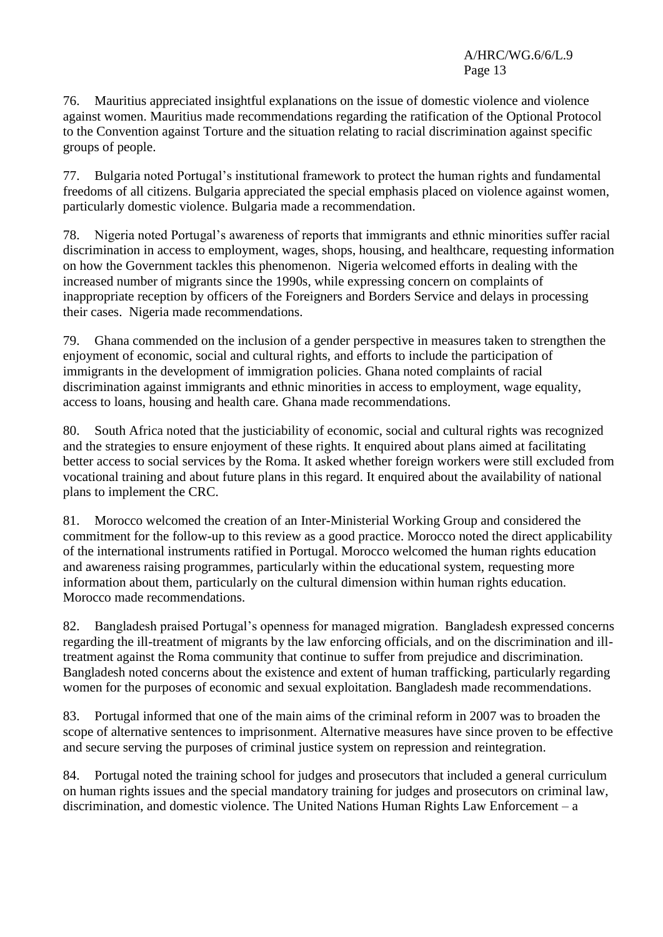76. Mauritius appreciated insightful explanations on the issue of domestic violence and violence against women. Mauritius made recommendations regarding the ratification of the Optional Protocol to the Convention against Torture and the situation relating to racial discrimination against specific groups of people.

77. Bulgaria noted Portugal's institutional framework to protect the human rights and fundamental freedoms of all citizens. Bulgaria appreciated the special emphasis placed on violence against women, particularly domestic violence. Bulgaria made a recommendation.

78. Nigeria noted Portugal's awareness of reports that immigrants and ethnic minorities suffer racial discrimination in access to employment, wages, shops, housing, and healthcare, requesting information on how the Government tackles this phenomenon. Nigeria welcomed efforts in dealing with the increased number of migrants since the 1990s, while expressing concern on complaints of inappropriate reception by officers of the Foreigners and Borders Service and delays in processing their cases. Nigeria made recommendations.

79. Ghana commended on the inclusion of a gender perspective in measures taken to strengthen the enjoyment of economic, social and cultural rights, and efforts to include the participation of immigrants in the development of immigration policies. Ghana noted complaints of racial discrimination against immigrants and ethnic minorities in access to employment, wage equality, access to loans, housing and health care. Ghana made recommendations.

80. South Africa noted that the justiciability of economic, social and cultural rights was recognized and the strategies to ensure enjoyment of these rights. It enquired about plans aimed at facilitating better access to social services by the Roma. It asked whether foreign workers were still excluded from vocational training and about future plans in this regard. It enquired about the availability of national plans to implement the CRC.

81. Morocco welcomed the creation of an Inter-Ministerial Working Group and considered the commitment for the follow-up to this review as a good practice. Morocco noted the direct applicability of the international instruments ratified in Portugal. Morocco welcomed the human rights education and awareness raising programmes, particularly within the educational system, requesting more information about them, particularly on the cultural dimension within human rights education. Morocco made recommendations.

82. Bangladesh praised Portugal's openness for managed migration. Bangladesh expressed concerns regarding the ill-treatment of migrants by the law enforcing officials, and on the discrimination and illtreatment against the Roma community that continue to suffer from prejudice and discrimination. Bangladesh noted concerns about the existence and extent of human trafficking, particularly regarding women for the purposes of economic and sexual exploitation. Bangladesh made recommendations.

83. Portugal informed that one of the main aims of the criminal reform in 2007 was to broaden the scope of alternative sentences to imprisonment. Alternative measures have since proven to be effective and secure serving the purposes of criminal justice system on repression and reintegration.

84. Portugal noted the training school for judges and prosecutors that included a general curriculum on human rights issues and the special mandatory training for judges and prosecutors on criminal law, discrimination, and domestic violence. The United Nations Human Rights Law Enforcement – a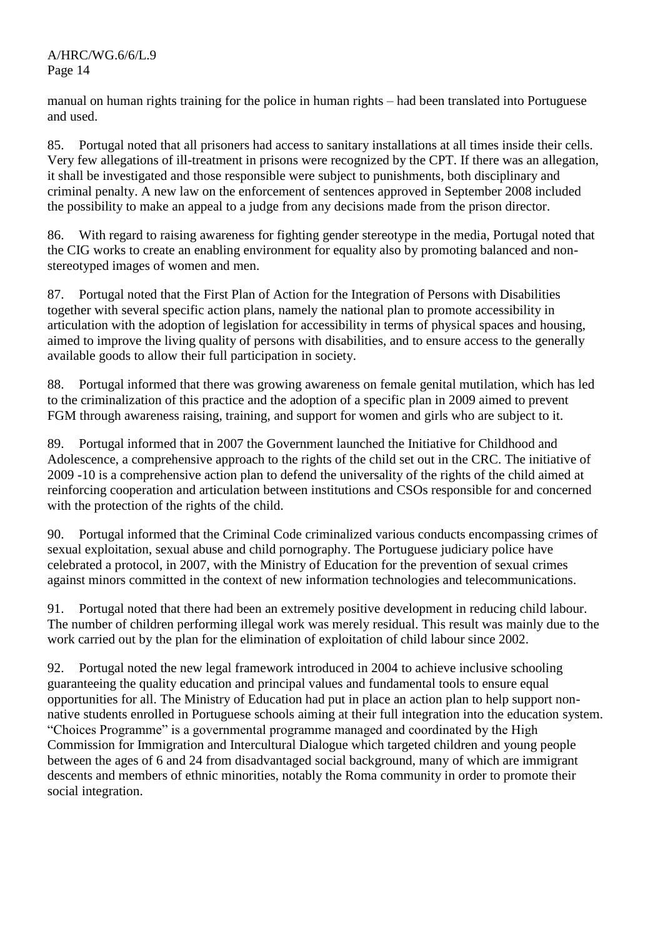manual on human rights training for the police in human rights – had been translated into Portuguese and used.

85. Portugal noted that all prisoners had access to sanitary installations at all times inside their cells. Very few allegations of ill-treatment in prisons were recognized by the CPT. If there was an allegation, it shall be investigated and those responsible were subject to punishments, both disciplinary and criminal penalty. A new law on the enforcement of sentences approved in September 2008 included the possibility to make an appeal to a judge from any decisions made from the prison director.

86. With regard to raising awareness for fighting gender stereotype in the media, Portugal noted that the CIG works to create an enabling environment for equality also by promoting balanced and nonstereotyped images of women and men.

87. Portugal noted that the First Plan of Action for the Integration of Persons with Disabilities together with several specific action plans, namely the national plan to promote accessibility in articulation with the adoption of legislation for accessibility in terms of physical spaces and housing, aimed to improve the living quality of persons with disabilities, and to ensure access to the generally available goods to allow their full participation in society.

88. Portugal informed that there was growing awareness on female genital mutilation, which has led to the criminalization of this practice and the adoption of a specific plan in 2009 aimed to prevent FGM through awareness raising, training, and support for women and girls who are subject to it.

89. Portugal informed that in 2007 the Government launched the Initiative for Childhood and Adolescence, a comprehensive approach to the rights of the child set out in the CRC. The initiative of 2009 -10 is a comprehensive action plan to defend the universality of the rights of the child aimed at reinforcing cooperation and articulation between institutions and CSOs responsible for and concerned with the protection of the rights of the child.

90. Portugal informed that the Criminal Code criminalized various conducts encompassing crimes of sexual exploitation, sexual abuse and child pornography. The Portuguese judiciary police have celebrated a protocol, in 2007, with the Ministry of Education for the prevention of sexual crimes against minors committed in the context of new information technologies and telecommunications.

91. Portugal noted that there had been an extremely positive development in reducing child labour. The number of children performing illegal work was merely residual. This result was mainly due to the work carried out by the plan for the elimination of exploitation of child labour since 2002.

92. Portugal noted the new legal framework introduced in 2004 to achieve inclusive schooling guaranteeing the quality education and principal values and fundamental tools to ensure equal opportunities for all. The Ministry of Education had put in place an action plan to help support nonnative students enrolled in Portuguese schools aiming at their full integration into the education system. "Choices Programme" is a governmental programme managed and coordinated by the High Commission for Immigration and Intercultural Dialogue which targeted children and young people between the ages of 6 and 24 from disadvantaged social background, many of which are immigrant descents and members of ethnic minorities, notably the Roma community in order to promote their social integration.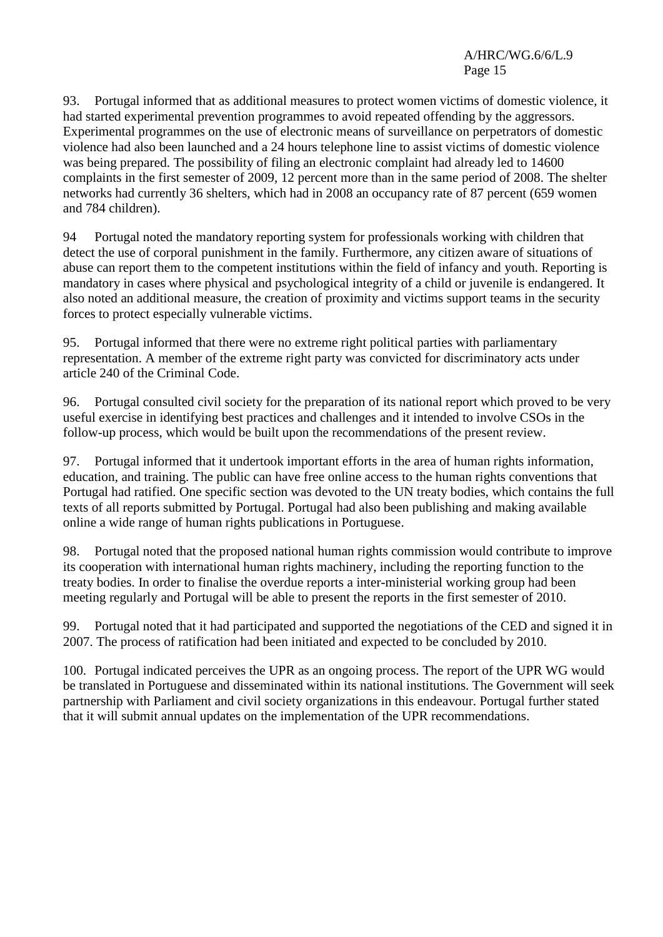93. Portugal informed that as additional measures to protect women victims of domestic violence, it had started experimental prevention programmes to avoid repeated offending by the aggressors. Experimental programmes on the use of electronic means of surveillance on perpetrators of domestic violence had also been launched and a 24 hours telephone line to assist victims of domestic violence was being prepared. The possibility of filing an electronic complaint had already led to 14600 complaints in the first semester of 2009, 12 percent more than in the same period of 2008. The shelter networks had currently 36 shelters, which had in 2008 an occupancy rate of 87 percent (659 women and 784 children).

94 Portugal noted the mandatory reporting system for professionals working with children that detect the use of corporal punishment in the family. Furthermore, any citizen aware of situations of abuse can report them to the competent institutions within the field of infancy and youth. Reporting is mandatory in cases where physical and psychological integrity of a child or juvenile is endangered. It also noted an additional measure, the creation of proximity and victims support teams in the security forces to protect especially vulnerable victims.

95. Portugal informed that there were no extreme right political parties with parliamentary representation. A member of the extreme right party was convicted for discriminatory acts under article 240 of the Criminal Code.

96. Portugal consulted civil society for the preparation of its national report which proved to be very useful exercise in identifying best practices and challenges and it intended to involve CSOs in the follow-up process, which would be built upon the recommendations of the present review.

97. Portugal informed that it undertook important efforts in the area of human rights information, education, and training. The public can have free online access to the human rights conventions that Portugal had ratified. One specific section was devoted to the UN treaty bodies, which contains the full texts of all reports submitted by Portugal. Portugal had also been publishing and making available online a wide range of human rights publications in Portuguese.

98. Portugal noted that the proposed national human rights commission would contribute to improve its cooperation with international human rights machinery, including the reporting function to the treaty bodies. In order to finalise the overdue reports a inter-ministerial working group had been meeting regularly and Portugal will be able to present the reports in the first semester of 2010.

99. Portugal noted that it had participated and supported the negotiations of the CED and signed it in 2007. The process of ratification had been initiated and expected to be concluded by 2010.

100. Portugal indicated perceives the UPR as an ongoing process. The report of the UPR WG would be translated in Portuguese and disseminated within its national institutions. The Government will seek partnership with Parliament and civil society organizations in this endeavour. Portugal further stated that it will submit annual updates on the implementation of the UPR recommendations.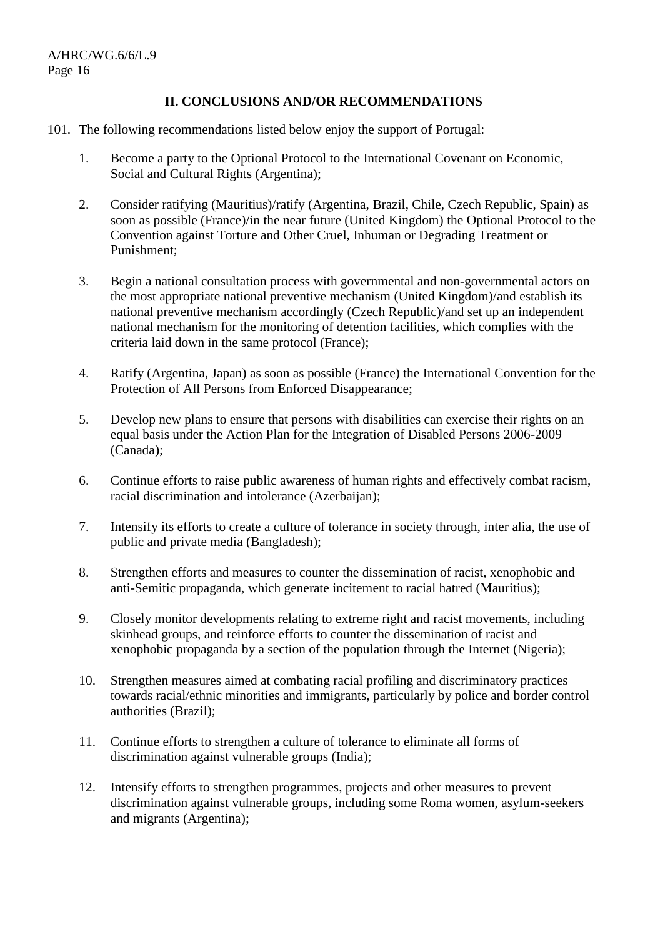# **II. CONCLUSIONS AND/OR RECOMMENDATIONS**

## 101. The following recommendations listed below enjoy the support of Portugal:

- 1. Become a party to the Optional Protocol to the International Covenant on Economic, Social and Cultural Rights (Argentina);
- 2. Consider ratifying (Mauritius)/ratify (Argentina, Brazil, Chile, Czech Republic, Spain) as soon as possible (France)/in the near future (United Kingdom) the Optional Protocol to the Convention against Torture and Other Cruel, Inhuman or Degrading Treatment or Punishment;
- 3. Begin a national consultation process with governmental and non-governmental actors on the most appropriate national preventive mechanism (United Kingdom)/and establish its national preventive mechanism accordingly (Czech Republic)/and set up an independent national mechanism for the monitoring of detention facilities, which complies with the criteria laid down in the same protocol (France);
- 4. Ratify (Argentina, Japan) as soon as possible (France) the International Convention for the Protection of All Persons from Enforced Disappearance;
- 5. Develop new plans to ensure that persons with disabilities can exercise their rights on an equal basis under the Action Plan for the Integration of Disabled Persons 2006-2009 (Canada);
- 6. Continue efforts to raise public awareness of human rights and effectively combat racism, racial discrimination and intolerance (Azerbaijan);
- 7. Intensify its efforts to create a culture of tolerance in society through, inter alia, the use of public and private media (Bangladesh);
- 8. Strengthen efforts and measures to counter the dissemination of racist, xenophobic and anti-Semitic propaganda, which generate incitement to racial hatred (Mauritius);
- 9. Closely monitor developments relating to extreme right and racist movements, including skinhead groups, and reinforce efforts to counter the dissemination of racist and xenophobic propaganda by a section of the population through the Internet (Nigeria);
- 10. Strengthen measures aimed at combating racial profiling and discriminatory practices towards racial/ethnic minorities and immigrants, particularly by police and border control authorities (Brazil);
- 11. Continue efforts to strengthen a culture of tolerance to eliminate all forms of discrimination against vulnerable groups (India);
- 12. Intensify efforts to strengthen programmes, projects and other measures to prevent discrimination against vulnerable groups, including some Roma women, asylum-seekers and migrants (Argentina);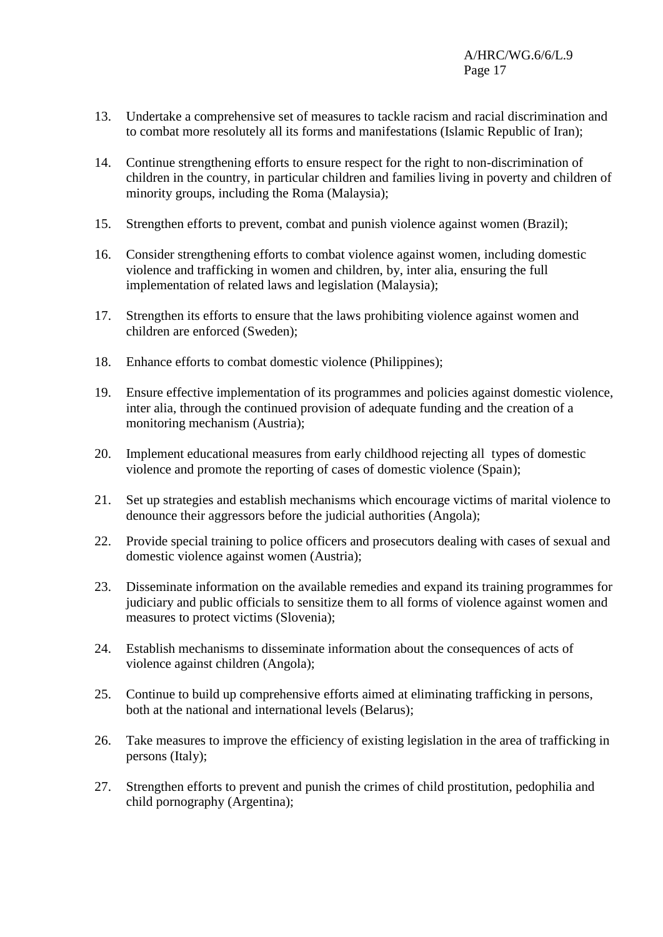- 13. Undertake a comprehensive set of measures to tackle racism and racial discrimination and to combat more resolutely all its forms and manifestations (Islamic Republic of Iran);
- 14. Continue strengthening efforts to ensure respect for the right to non-discrimination of children in the country, in particular children and families living in poverty and children of minority groups, including the Roma (Malaysia);
- 15. Strengthen efforts to prevent, combat and punish violence against women (Brazil);
- 16. Consider strengthening efforts to combat violence against women, including domestic violence and trafficking in women and children, by, inter alia, ensuring the full implementation of related laws and legislation (Malaysia);
- 17. Strengthen its efforts to ensure that the laws prohibiting violence against women and children are enforced (Sweden);
- 18. Enhance efforts to combat domestic violence (Philippines);
- 19. Ensure effective implementation of its programmes and policies against domestic violence, inter alia, through the continued provision of adequate funding and the creation of a monitoring mechanism (Austria);
- 20. Implement educational measures from early childhood rejecting all types of domestic violence and promote the reporting of cases of domestic violence (Spain);
- 21. Set up strategies and establish mechanisms which encourage victims of marital violence to denounce their aggressors before the judicial authorities (Angola);
- 22. Provide special training to police officers and prosecutors dealing with cases of sexual and domestic violence against women (Austria);
- 23. Disseminate information on the available remedies and expand its training programmes for judiciary and public officials to sensitize them to all forms of violence against women and measures to protect victims (Slovenia);
- 24. Establish mechanisms to disseminate information about the consequences of acts of violence against children (Angola);
- 25. Continue to build up comprehensive efforts aimed at eliminating trafficking in persons, both at the national and international levels (Belarus);
- 26. Take measures to improve the efficiency of existing legislation in the area of trafficking in persons (Italy);
- 27. Strengthen efforts to prevent and punish the crimes of child prostitution, pedophilia and child pornography (Argentina);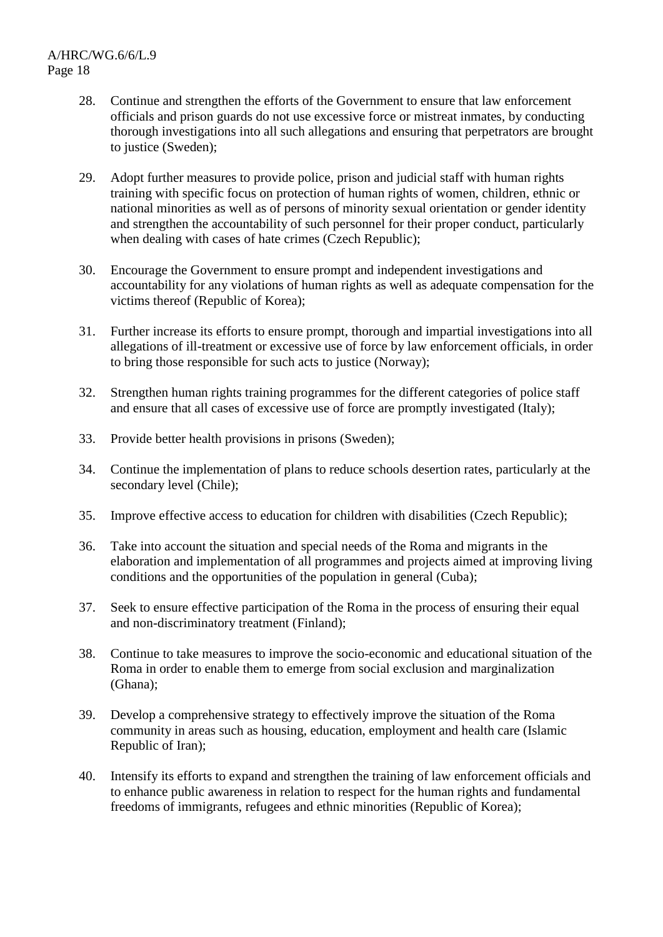- 28. Continue and strengthen the efforts of the Government to ensure that law enforcement officials and prison guards do not use excessive force or mistreat inmates, by conducting thorough investigations into all such allegations and ensuring that perpetrators are brought to justice (Sweden);
- 29. Adopt further measures to provide police, prison and judicial staff with human rights training with specific focus on protection of human rights of women, children, ethnic or national minorities as well as of persons of minority sexual orientation or gender identity and strengthen the accountability of such personnel for their proper conduct, particularly when dealing with cases of hate crimes (Czech Republic);
- 30. Encourage the Government to ensure prompt and independent investigations and accountability for any violations of human rights as well as adequate compensation for the victims thereof (Republic of Korea);
- 31. Further increase its efforts to ensure prompt, thorough and impartial investigations into all allegations of ill-treatment or excessive use of force by law enforcement officials, in order to bring those responsible for such acts to justice (Norway);
- 32. Strengthen human rights training programmes for the different categories of police staff and ensure that all cases of excessive use of force are promptly investigated (Italy);
- 33. Provide better health provisions in prisons (Sweden);
- 34. Continue the implementation of plans to reduce schools desertion rates, particularly at the secondary level (Chile);
- 35. Improve effective access to education for children with disabilities (Czech Republic);
- 36. Take into account the situation and special needs of the Roma and migrants in the elaboration and implementation of all programmes and projects aimed at improving living conditions and the opportunities of the population in general (Cuba);
- 37. Seek to ensure effective participation of the Roma in the process of ensuring their equal and non-discriminatory treatment (Finland);
- 38. Continue to take measures to improve the socio-economic and educational situation of the Roma in order to enable them to emerge from social exclusion and marginalization (Ghana);
- 39. Develop a comprehensive strategy to effectively improve the situation of the Roma community in areas such as housing, education, employment and health care (Islamic Republic of Iran);
- 40. Intensify its efforts to expand and strengthen the training of law enforcement officials and to enhance public awareness in relation to respect for the human rights and fundamental freedoms of immigrants, refugees and ethnic minorities (Republic of Korea);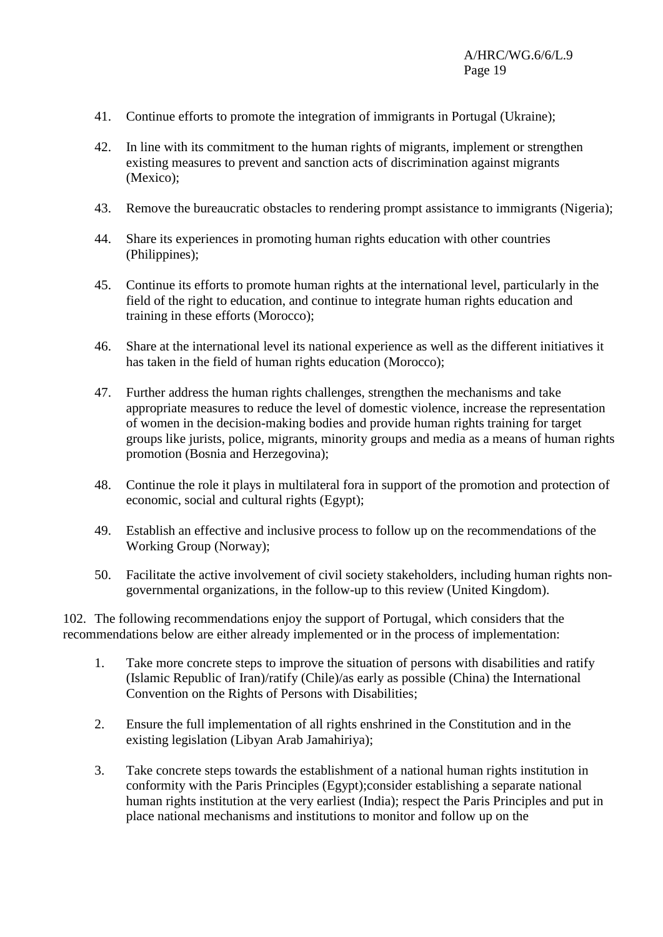- 41. Continue efforts to promote the integration of immigrants in Portugal (Ukraine);
- 42. In line with its commitment to the human rights of migrants, implement or strengthen existing measures to prevent and sanction acts of discrimination against migrants (Mexico);
- 43. Remove the bureaucratic obstacles to rendering prompt assistance to immigrants (Nigeria);
- 44. Share its experiences in promoting human rights education with other countries (Philippines);
- 45. Continue its efforts to promote human rights at the international level, particularly in the field of the right to education, and continue to integrate human rights education and training in these efforts (Morocco);
- 46. Share at the international level its national experience as well as the different initiatives it has taken in the field of human rights education (Morocco);
- 47. Further address the human rights challenges, strengthen the mechanisms and take appropriate measures to reduce the level of domestic violence, increase the representation of women in the decision-making bodies and provide human rights training for target groups like jurists, police, migrants, minority groups and media as a means of human rights promotion (Bosnia and Herzegovina);
- 48. Continue the role it plays in multilateral fora in support of the promotion and protection of economic, social and cultural rights (Egypt);
- 49. Establish an effective and inclusive process to follow up on the recommendations of the Working Group (Norway);
- 50. Facilitate the active involvement of civil society stakeholders, including human rights nongovernmental organizations, in the follow-up to this review (United Kingdom).

102. The following recommendations enjoy the support of Portugal, which considers that the recommendations below are either already implemented or in the process of implementation:

- 1. Take more concrete steps to improve the situation of persons with disabilities and ratify (Islamic Republic of Iran)/ratify (Chile)/as early as possible (China) the International Convention on the Rights of Persons with Disabilities;
- 2. Ensure the full implementation of all rights enshrined in the Constitution and in the existing legislation (Libyan Arab Jamahiriya);
- 3. Take concrete steps towards the establishment of a national human rights institution in conformity with the Paris Principles (Egypt);consider establishing a separate national human rights institution at the very earliest (India); respect the Paris Principles and put in place national mechanisms and institutions to monitor and follow up on the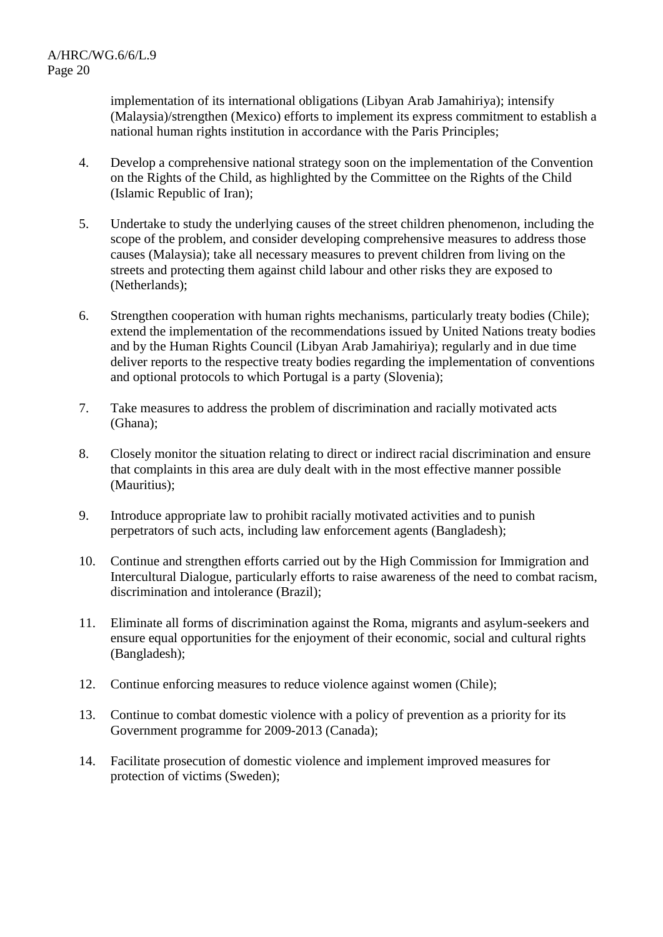implementation of its international obligations (Libyan Arab Jamahiriya); intensify (Malaysia)/strengthen (Mexico) efforts to implement its express commitment to establish a national human rights institution in accordance with the Paris Principles;

- 4. Develop a comprehensive national strategy soon on the implementation of the Convention on the Rights of the Child, as highlighted by the Committee on the Rights of the Child (Islamic Republic of Iran);
- 5. Undertake to study the underlying causes of the street children phenomenon, including the scope of the problem, and consider developing comprehensive measures to address those causes (Malaysia); take all necessary measures to prevent children from living on the streets and protecting them against child labour and other risks they are exposed to (Netherlands);
- 6. Strengthen cooperation with human rights mechanisms, particularly treaty bodies (Chile); extend the implementation of the recommendations issued by United Nations treaty bodies and by the Human Rights Council (Libyan Arab Jamahiriya); regularly and in due time deliver reports to the respective treaty bodies regarding the implementation of conventions and optional protocols to which Portugal is a party (Slovenia);
- 7. Take measures to address the problem of discrimination and racially motivated acts (Ghana);
- 8. Closely monitor the situation relating to direct or indirect racial discrimination and ensure that complaints in this area are duly dealt with in the most effective manner possible (Mauritius);
- 9. Introduce appropriate law to prohibit racially motivated activities and to punish perpetrators of such acts, including law enforcement agents (Bangladesh);
- 10. Continue and strengthen efforts carried out by the High Commission for Immigration and Intercultural Dialogue, particularly efforts to raise awareness of the need to combat racism, discrimination and intolerance (Brazil);
- 11. Eliminate all forms of discrimination against the Roma, migrants and asylum-seekers and ensure equal opportunities for the enjoyment of their economic, social and cultural rights (Bangladesh);
- 12. Continue enforcing measures to reduce violence against women (Chile);
- 13. Continue to combat domestic violence with a policy of prevention as a priority for its Government programme for 2009-2013 (Canada);
- 14. Facilitate prosecution of domestic violence and implement improved measures for protection of victims (Sweden);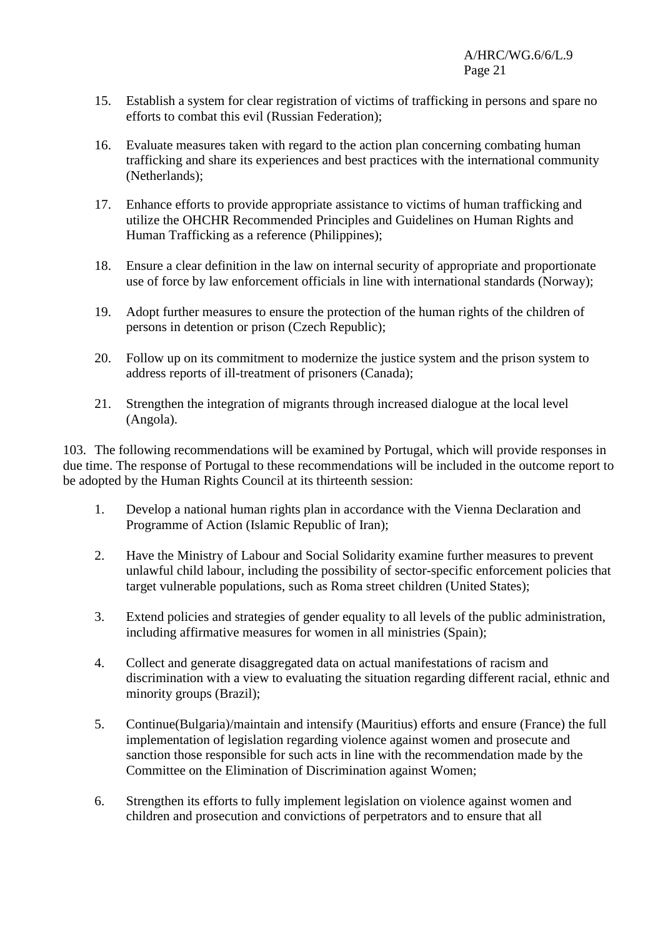- 15. Establish a system for clear registration of victims of trafficking in persons and spare no efforts to combat this evil (Russian Federation);
- 16. Evaluate measures taken with regard to the action plan concerning combating human trafficking and share its experiences and best practices with the international community (Netherlands);
- 17. Enhance efforts to provide appropriate assistance to victims of human trafficking and utilize the OHCHR Recommended Principles and Guidelines on Human Rights and Human Trafficking as a reference (Philippines);
- 18. Ensure a clear definition in the law on internal security of appropriate and proportionate use of force by law enforcement officials in line with international standards (Norway);
- 19. Adopt further measures to ensure the protection of the human rights of the children of persons in detention or prison (Czech Republic);
- 20. Follow up on its commitment to modernize the justice system and the prison system to address reports of ill-treatment of prisoners (Canada);
- 21. Strengthen the integration of migrants through increased dialogue at the local level (Angola).

103. The following recommendations will be examined by Portugal, which will provide responses in due time. The response of Portugal to these recommendations will be included in the outcome report to be adopted by the Human Rights Council at its thirteenth session:

- 1. Develop a national human rights plan in accordance with the Vienna Declaration and Programme of Action (Islamic Republic of Iran);
- 2. Have the Ministry of Labour and Social Solidarity examine further measures to prevent unlawful child labour, including the possibility of sector-specific enforcement policies that target vulnerable populations, such as Roma street children (United States);
- 3. Extend policies and strategies of gender equality to all levels of the public administration, including affirmative measures for women in all ministries (Spain);
- 4. Collect and generate disaggregated data on actual manifestations of racism and discrimination with a view to evaluating the situation regarding different racial, ethnic and minority groups (Brazil);
- 5. Continue(Bulgaria)/maintain and intensify (Mauritius) efforts and ensure (France) the full implementation of legislation regarding violence against women and prosecute and sanction those responsible for such acts in line with the recommendation made by the Committee on the Elimination of Discrimination against Women;
- 6. Strengthen its efforts to fully implement legislation on violence against women and children and prosecution and convictions of perpetrators and to ensure that all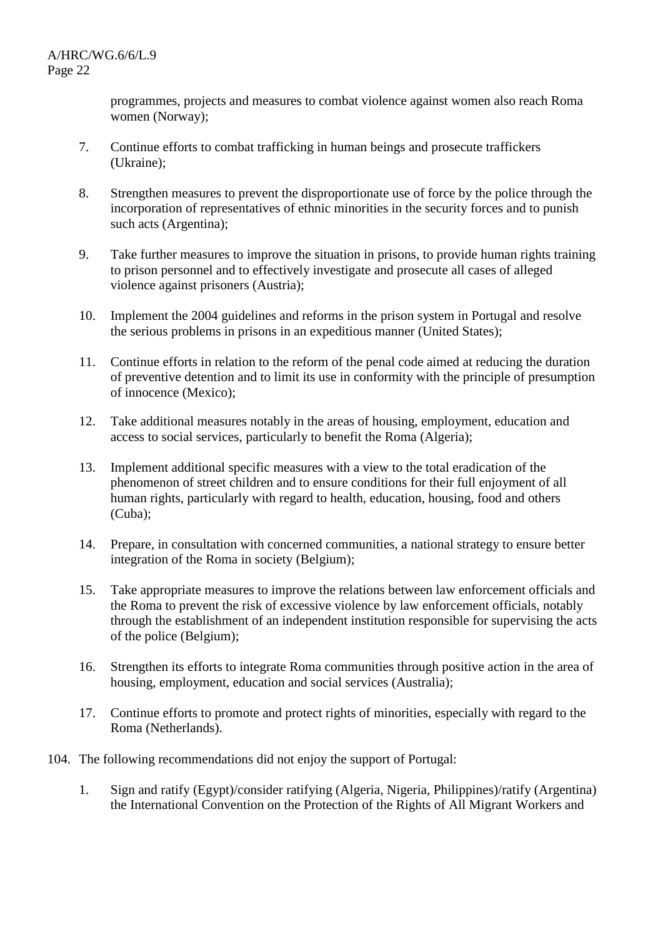programmes, projects and measures to combat violence against women also reach Roma women (Norway);

- 7. Continue efforts to combat trafficking in human beings and prosecute traffickers (Ukraine);
- 8. Strengthen measures to prevent the disproportionate use of force by the police through the incorporation of representatives of ethnic minorities in the security forces and to punish such acts (Argentina);
- 9. Take further measures to improve the situation in prisons, to provide human rights training to prison personnel and to effectively investigate and prosecute all cases of alleged violence against prisoners (Austria);
- 10. Implement the 2004 guidelines and reforms in the prison system in Portugal and resolve the serious problems in prisons in an expeditious manner (United States);
- 11. Continue efforts in relation to the reform of the penal code aimed at reducing the duration of preventive detention and to limit its use in conformity with the principle of presumption of innocence (Mexico);
- 12. Take additional measures notably in the areas of housing, employment, education and access to social services, particularly to benefit the Roma (Algeria);
- 13. Implement additional specific measures with a view to the total eradication of the phenomenon of street children and to ensure conditions for their full enjoyment of all human rights, particularly with regard to health, education, housing, food and others (Cuba);
- 14. Prepare, in consultation with concerned communities, a national strategy to ensure better integration of the Roma in society (Belgium);
- 15. Take appropriate measures to improve the relations between law enforcement officials and the Roma to prevent the risk of excessive violence by law enforcement officials, notably through the establishment of an independent institution responsible for supervising the acts of the police (Belgium);
- 16. Strengthen its efforts to integrate Roma communities through positive action in the area of housing, employment, education and social services (Australia);
- 17. Continue efforts to promote and protect rights of minorities, especially with regard to the Roma (Netherlands).
- 104. The following recommendations did not enjoy the support of Portugal:
	- 1. Sign and ratify (Egypt)/consider ratifying (Algeria, Nigeria, Philippines)/ratify (Argentina) the International Convention on the Protection of the Rights of All Migrant Workers and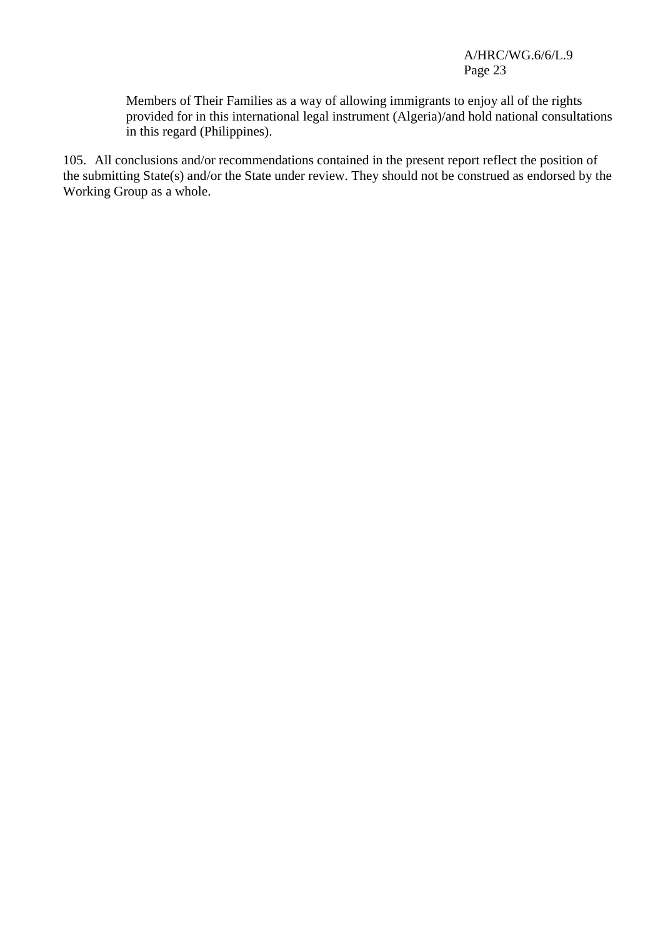Members of Their Families as a way of allowing immigrants to enjoy all of the rights provided for in this international legal instrument (Algeria)/and hold national consultations in this regard (Philippines).

105. All conclusions and/or recommendations contained in the present report reflect the position of the submitting State(s) and/or the State under review. They should not be construed as endorsed by the Working Group as a whole.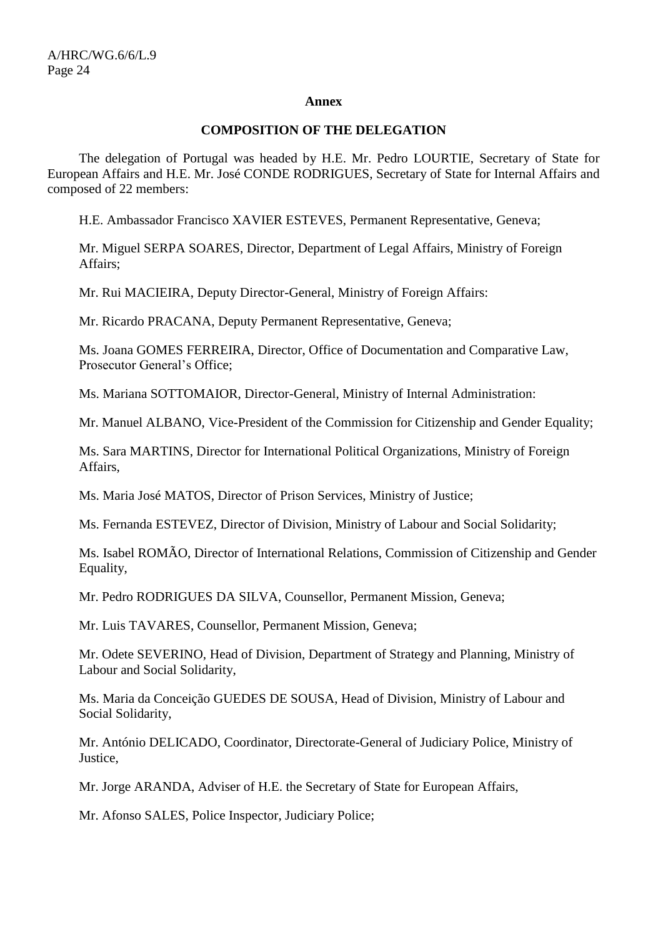#### **Annex**

## **COMPOSITION OF THE DELEGATION**

The delegation of Portugal was headed by H.E. Mr. Pedro LOURTIE, Secretary of State for European Affairs and H.E. Mr. José CONDE RODRIGUES, Secretary of State for Internal Affairs and composed of 22 members:

H.E. Ambassador Francisco XAVIER ESTEVES, Permanent Representative, Geneva;

Mr. Miguel SERPA SOARES, Director, Department of Legal Affairs, Ministry of Foreign Affairs;

Mr. Rui MACIEIRA, Deputy Director-General, Ministry of Foreign Affairs:

Mr. Ricardo PRACANA, Deputy Permanent Representative, Geneva;

Ms. Joana GOMES FERREIRA, Director, Office of Documentation and Comparative Law, Prosecutor General's Office;

Ms. Mariana SOTTOMAIOR, Director-General, Ministry of Internal Administration:

Mr. Manuel ALBANO, Vice-President of the Commission for Citizenship and Gender Equality;

Ms. Sara MARTINS, Director for International Political Organizations, Ministry of Foreign Affairs,

Ms. Maria José MATOS, Director of Prison Services, Ministry of Justice;

Ms. Fernanda ESTEVEZ, Director of Division, Ministry of Labour and Social Solidarity;

Ms. Isabel ROMÃO, Director of International Relations, Commission of Citizenship and Gender Equality,

Mr. Pedro RODRIGUES DA SILVA, Counsellor, Permanent Mission, Geneva;

Mr. Luis TAVARES, Counsellor, Permanent Mission, Geneva;

Mr. Odete SEVERINO, Head of Division, Department of Strategy and Planning, Ministry of Labour and Social Solidarity,

Ms. Maria da Conceição GUEDES DE SOUSA, Head of Division, Ministry of Labour and Social Solidarity,

Mr. António DELICADO, Coordinator, Directorate-General of Judiciary Police, Ministry of Justice,

Mr. Jorge ARANDA, Adviser of H.E. the Secretary of State for European Affairs,

Mr. Afonso SALES, Police Inspector, Judiciary Police;